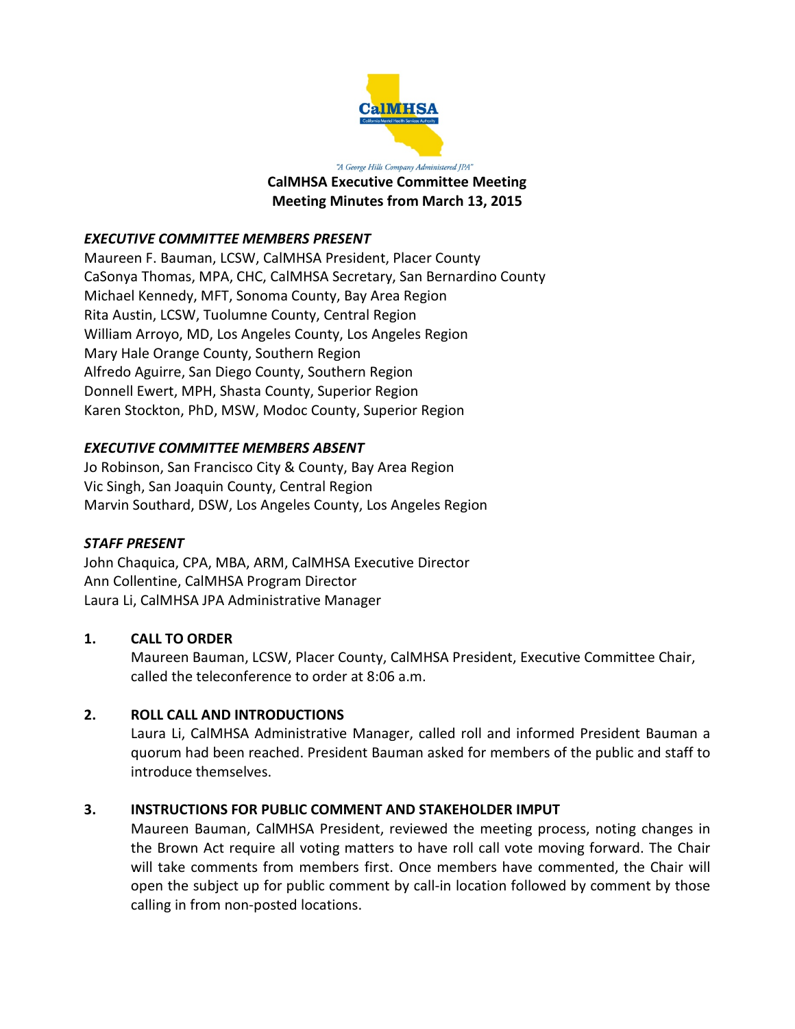

"A George Hills Company Administered JPA" **CalMHSA Executive Committee Meeting Meeting Minutes from March 13, 2015**

### *EXECUTIVE COMMITTEE MEMBERS PRESENT*

Maureen F. Bauman, LCSW, CalMHSA President, Placer County CaSonya Thomas, MPA, CHC, CalMHSA Secretary, San Bernardino County Michael Kennedy, MFT, Sonoma County, Bay Area Region Rita Austin, LCSW, Tuolumne County, Central Region William Arroyo, MD, Los Angeles County, Los Angeles Region Mary Hale Orange County, Southern Region Alfredo Aguirre, San Diego County, Southern Region Donnell Ewert, MPH, Shasta County, Superior Region Karen Stockton, PhD, MSW, Modoc County, Superior Region

# *EXECUTIVE COMMITTEE MEMBERS ABSENT*

Jo Robinson, San Francisco City & County, Bay Area Region Vic Singh, San Joaquin County, Central Region Marvin Southard, DSW, Los Angeles County, Los Angeles Region

### *STAFF PRESENT*

John Chaquica, CPA, MBA, ARM, CalMHSA Executive Director Ann Collentine, CalMHSA Program Director Laura Li, CalMHSA JPA Administrative Manager

### **1. CALL TO ORDER**

Maureen Bauman, LCSW, Placer County, CalMHSA President, Executive Committee Chair, called the teleconference to order at 8:06 a.m.

### **2. ROLL CALL AND INTRODUCTIONS**

Laura Li, CalMHSA Administrative Manager, called roll and informed President Bauman a quorum had been reached. President Bauman asked for members of the public and staff to introduce themselves.

### **3. INSTRUCTIONS FOR PUBLIC COMMENT AND STAKEHOLDER IMPUT**

Maureen Bauman, CalMHSA President, reviewed the meeting process, noting changes in the Brown Act require all voting matters to have roll call vote moving forward. The Chair will take comments from members first. Once members have commented, the Chair will open the subject up for public comment by call-in location followed by comment by those calling in from non-posted locations.